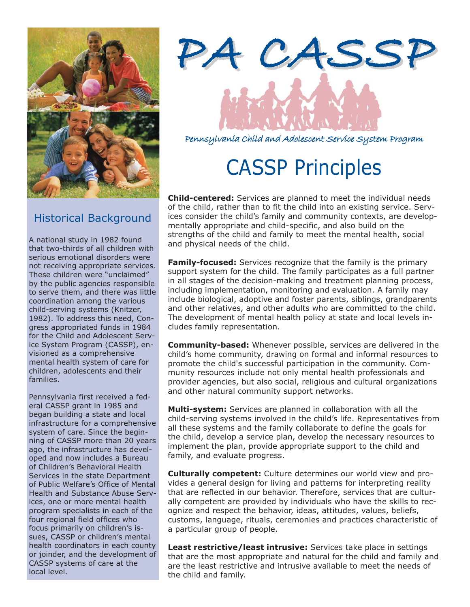

#### Historical Background

A national study in 1982 found that two-thirds of all children with serious emotional disorders were not receiving appropriate services. These children were "unclaimed" by the public agencies responsible to serve them, and there was little coordination among the various child-serving systems (Knitzer, 1982). To address this need, Congress appropriated funds in 1984 for the Child and Adolescent Service System Program (CASSP), envisioned as a comprehensive mental health system of care for children, adolescents and their families.

Pennsylvania first received a federal CASSP grant in 1985 and began building a state and local infrastructure for a comprehensive system of care. Since the beginning of CASSP more than 20 years ago, the infrastructure has developed and now includes a Bureau of Children's Behavioral Health Services in the state Department of Public Welfare's Office of Mental Health and Substance Abuse Services, one or more mental health program specialists in each of the four regional field offices who focus primarily on children's issues, CASSP or children's mental health coordinators in each county or joinder, and the development of CASSP systems of care at the local level.



Pennsylvania Child and Adolescent Service System Program

## CASSP Principles

**Child-centered:** Services are planned to meet the individual needs of the child, rather than to fit the child into an existing service. Services consider the child's family and community contexts, are developmentally appropriate and child-specific, and also build on the strengths of the child and family to meet the mental health, social and physical needs of the child.

**Family-focused:** Services recognize that the family is the primary support system for the child. The family participates as a full partner in all stages of the decision-making and treatment planning process, including implementation, monitoring and evaluation. A family may include biological, adoptive and foster parents, siblings, grandparents and other relatives, and other adults who are committed to the child. The development of mental health policy at state and local levels includes family representation.

**Community-based:** Whenever possible, services are delivered in the child's home community, drawing on formal and informal resources to promote the child's successful participation in the community. Community resources include not only mental health professionals and provider agencies, but also social, religious and cultural organizations and other natural community support networks.

**Multi-system:** Services are planned in collaboration with all the child-serving systems involved in the child's life. Representatives from all these systems and the family collaborate to define the goals for the child, develop a service plan, develop the necessary resources to implement the plan, provide appropriate support to the child and family, and evaluate progress.

**Culturally competent:** Culture determines our world view and provides a general design for living and patterns for interpreting reality that are reflected in our behavior. Therefore, services that are culturally competent are provided by individuals who have the skills to recognize and respect the behavior, ideas, attitudes, values, beliefs, customs, language, rituals, ceremonies and practices characteristic of a particular group of people.

**Least restrictive/least intrusive:** Services take place in settings that are the most appropriate and natural for the child and family and are the least restrictive and intrusive available to meet the needs of the child and family.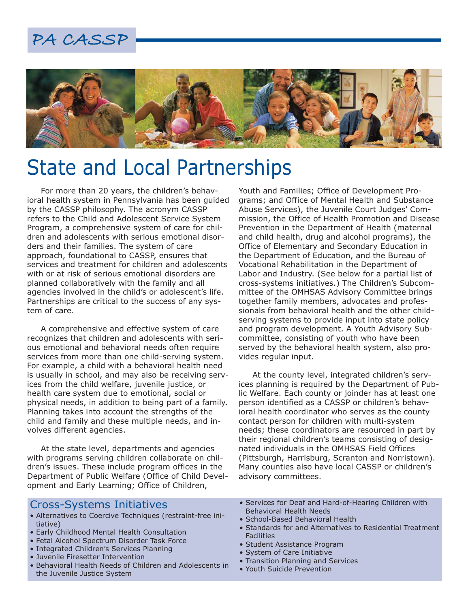### PA CASSI



### State and Local Partnerships

For more than 20 years, the children's behavioral health system in Pennsylvania has been guided by the CASSP philosophy. The acronym CASSP refers to the Child and Adolescent Service System Program, a comprehensive system of care for children and adolescents with serious emotional disorders and their families. The system of care approach, foundational to CASSP, ensures that services and treatment for children and adolescents with or at risk of serious emotional disorders are planned collaboratively with the family and all agencies involved in the child's or adolescent's life. Partnerships are critical to the success of any system of care.

A comprehensive and effective system of care recognizes that children and adolescents with serious emotional and behavioral needs often require services from more than one child-serving system. For example, a child with a behavioral health need is usually in school, and may also be receiving services from the child welfare, juvenile justice, or health care system due to emotional, social or physical needs, in addition to being part of a family. Planning takes into account the strengths of the child and family and these multiple needs, and involves different agencies.

At the state level, departments and agencies with programs serving children collaborate on children's issues. These include program offices in the Department of Public Welfare (Office of Child Development and Early Learning; Office of Children,

Youth and Families; Office of Development Programs; and Office of Mental Health and Substance Abuse Services), the Juvenile Court Judges' Commission, the Office of Health Promotion and Disease Prevention in the Department of Health (maternal and child health, drug and alcohol programs), the Office of Elementary and Secondary Education in the Department of Education, and the Bureau of Vocational Rehabilitation in the Department of Labor and Industry. (See below for a partial list of cross-systems initiatives.) The Children's Subcommittee of the OMHSAS Advisory Committee brings together family members, advocates and professionals from behavioral health and the other childserving systems to provide input into state policy and program development. A Youth Advisory Subcommittee, consisting of youth who have been served by the behavioral health system, also provides regular input.

At the county level, integrated children's services planning is required by the Department of Public Welfare. Each county or joinder has at least one person identified as a CASSP or children's behavioral health coordinator who serves as the county contact person for children with multi-system needs; these coordinators are resourced in part by their regional children's teams consisting of designated individuals in the OMHSAS Field Offices (Pittsburgh, Harrisburg, Scranton and Norristown). Many counties also have local CASSP or children's advisory committees.

#### Cross-Systems Initiatives

- Alternatives to Coercive Techniques (restraint-free initiative)
- Early Childhood Mental Health Consultation
- Fetal Alcohol Spectrum Disorder Task Force
- Integrated Children's Services Planning
- Juvenile Firesetter Intervention
- Behavioral Health Needs of Children and Adolescents in the Juvenile Justice System
- Services for Deaf and Hard-of-Hearing Children with Behavioral Health Needs
- School-Based Behavioral Health
- Standards for and Alternatives to Residential Treatment Facilities
- Student Assistance Program
- System of Care Initiative
- Transition Planning and Services
- Youth Suicide Prevention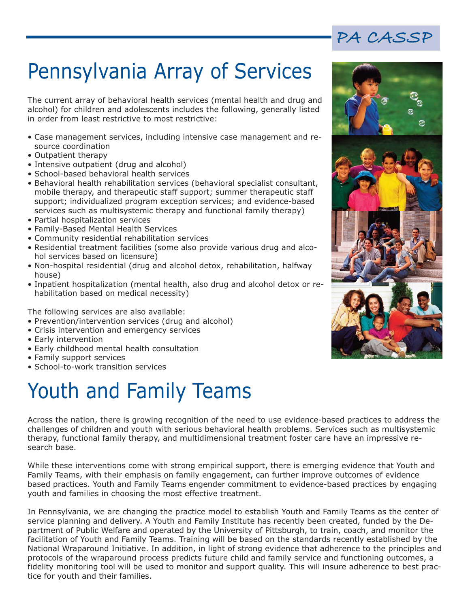### PA CASSP

## Pennsylvania Array of Services

The current array of behavioral health services (mental health and drug and alcohol) for children and adolescents includes the following, generally listed in order from least restrictive to most restrictive:

- Case management services, including intensive case management and resource coordination
- Outpatient therapy
- Intensive outpatient (drug and alcohol)
- School-based behavioral health services
- Behavioral health rehabilitation services (behavioral specialist consultant, mobile therapy, and therapeutic staff support; summer therapeutic staff support; individualized program exception services; and evidence-based services such as multisystemic therapy and functional family therapy)
- Partial hospitalization services
- Family-Based Mental Health Services
- Community residential rehabilitation services
- Residential treatment facilities (some also provide various drug and alcohol services based on licensure)
- Non-hospital residential (drug and alcohol detox, rehabilitation, halfway house)
- Inpatient hospitalization (mental health, also drug and alcohol detox or rehabilitation based on medical necessity)

The following services are also available:

- Prevention/intervention services (drug and alcohol)
- Crisis intervention and emergency services
- Early intervention
- Early childhood mental health consultation
- Family support services
- School-to-work transition services

# Youth and Family Teams

Across the nation, there is growing recognition of the need to use evidence-based practices to address the challenges of children and youth with serious behavioral health problems. Services such as multisystemic therapy, functional family therapy, and multidimensional treatment foster care have an impressive research base.

While these interventions come with strong empirical support, there is emerging evidence that Youth and Family Teams, with their emphasis on family engagement, can further improve outcomes of evidence based practices. Youth and Family Teams engender commitment to evidence-based practices by engaging youth and families in choosing the most effective treatment.

In Pennsylvania, we are changing the practice model to establish Youth and Family Teams as the center of service planning and delivery. A Youth and Family Institute has recently been created, funded by the Department of Public Welfare and operated by the University of Pittsburgh, to train, coach, and monitor the facilitation of Youth and Family Teams. Training will be based on the standards recently established by the National Wraparound Initiative. In addition, in light of strong evidence that adherence to the principles and protocols of the wraparound process predicts future child and family service and functioning outcomes, a fidelity monitoring tool will be used to monitor and support quality. This will insure adherence to best practice for youth and their families.